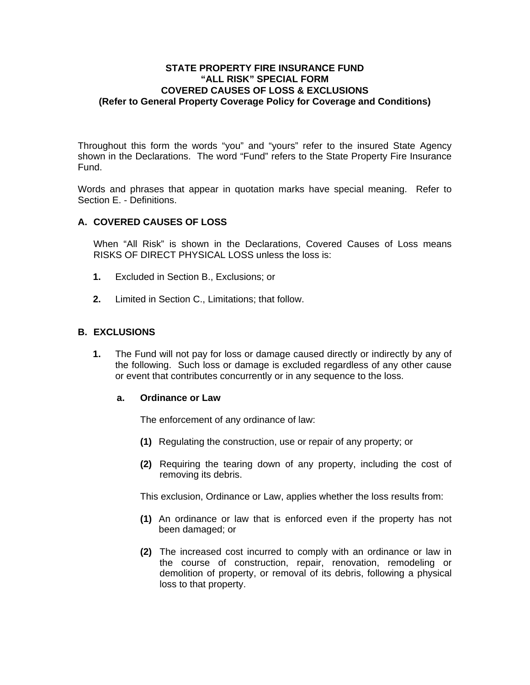# **STATE PROPERTY FIRE INSURANCE FUND "ALL RISK" SPECIAL FORM COVERED CAUSES OF LOSS & EXCLUSIONS (Refer to General Property Coverage Policy for Coverage and Conditions)**

Throughout this form the words "you" and "yours" refer to the insured State Agency shown in the Declarations. The word "Fund" refers to the State Property Fire Insurance Fund.

Words and phrases that appear in quotation marks have special meaning. Refer to Section E. - Definitions.

# **A. COVERED CAUSES OF LOSS**

When "All Risk" is shown in the Declarations, Covered Causes of Loss means RISKS OF DIRECT PHYSICAL LOSS unless the loss is:

- **1.** Excluded in Section B., Exclusions; or
- **2.** Limited in Section C., Limitations; that follow.

### **B. EXCLUSIONS**

**1.** The Fund will not pay for loss or damage caused directly or indirectly by any of the following. Such loss or damage is excluded regardless of any other cause or event that contributes concurrently or in any sequence to the loss.

#### **a. Ordinance or Law**

The enforcement of any ordinance of law:

- **(1)** Regulating the construction, use or repair of any property; or
- **(2)** Requiring the tearing down of any property, including the cost of removing its debris.

This exclusion, Ordinance or Law, applies whether the loss results from:

- **(1)** An ordinance or law that is enforced even if the property has not been damaged; or
- **(2)** The increased cost incurred to comply with an ordinance or law in the course of construction, repair, renovation, remodeling or demolition of property, or removal of its debris, following a physical loss to that property.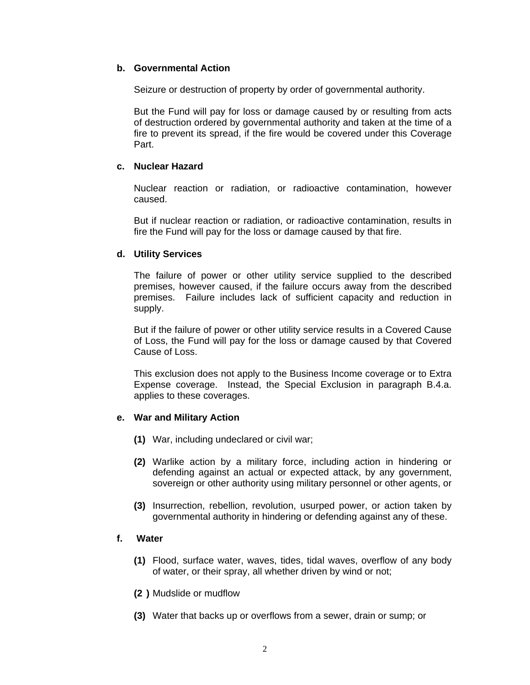# **b. Governmental Action**

Seizure or destruction of property by order of governmental authority.

But the Fund will pay for loss or damage caused by or resulting from acts of destruction ordered by governmental authority and taken at the time of a fire to prevent its spread, if the fire would be covered under this Coverage Part.

### **c. Nuclear Hazard**

Nuclear reaction or radiation, or radioactive contamination, however caused.

But if nuclear reaction or radiation, or radioactive contamination, results in fire the Fund will pay for the loss or damage caused by that fire.

# **d. Utility Services**

The failure of power or other utility service supplied to the described premises, however caused, if the failure occurs away from the described premises. Failure includes lack of sufficient capacity and reduction in supply.

But if the failure of power or other utility service results in a Covered Cause of Loss, the Fund will pay for the loss or damage caused by that Covered Cause of Loss.

This exclusion does not apply to the Business Income coverage or to Extra Expense coverage. Instead, the Special Exclusion in paragraph B.4.a. applies to these coverages.

# **e. War and Military Action**

- **(1)** War, including undeclared or civil war;
- **(2)** Warlike action by a military force, including action in hindering or defending against an actual or expected attack, by any government, sovereign or other authority using military personnel or other agents, or
- **(3)** Insurrection, rebellion, revolution, usurped power, or action taken by governmental authority in hindering or defending against any of these.

# **f. Water**

- **(1)** Flood, surface water, waves, tides, tidal waves, overflow of any body of water, or their spray, all whether driven by wind or not;
- **(2 )** Mudslide or mudflow
- **(3)** Water that backs up or overflows from a sewer, drain or sump; or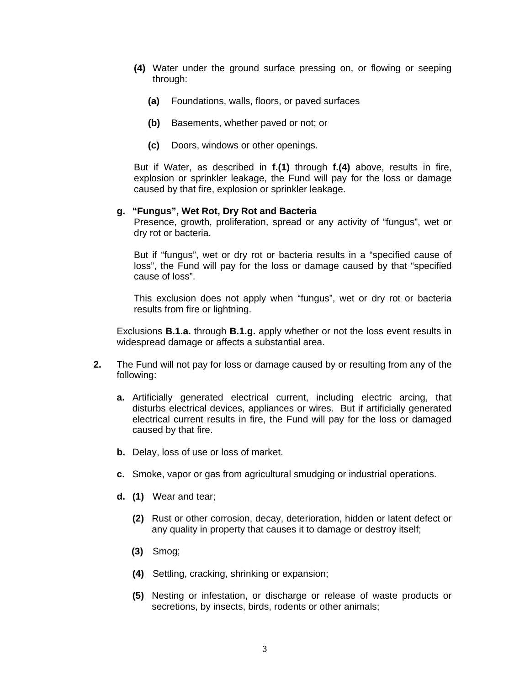- **(4)** Water under the ground surface pressing on, or flowing or seeping through:
	- **(a)** Foundations, walls, floors, or paved surfaces
	- **(b)** Basements, whether paved or not; or
	- **(c)** Doors, windows or other openings.

But if Water, as described in **f.(1)** through **f.(4)** above, results in fire, explosion or sprinkler leakage, the Fund will pay for the loss or damage caused by that fire, explosion or sprinkler leakage.

# **g. "Fungus", Wet Rot, Dry Rot and Bacteria**

Presence, growth, proliferation, spread or any activity of "fungus", wet or dry rot or bacteria.

But if "fungus", wet or dry rot or bacteria results in a "specified cause of loss", the Fund will pay for the loss or damage caused by that "specified cause of loss".

This exclusion does not apply when "fungus", wet or dry rot or bacteria results from fire or lightning.

Exclusions **B.1.a.** through **B.1.g.** apply whether or not the loss event results in widespread damage or affects a substantial area.

- **2.** The Fund will not pay for loss or damage caused by or resulting from any of the following:
	- **a.** Artificially generated electrical current, including electric arcing, that disturbs electrical devices, appliances or wires. But if artificially generated electrical current results in fire, the Fund will pay for the loss or damaged caused by that fire.
	- **b.** Delay, loss of use or loss of market.
	- **c.** Smoke, vapor or gas from agricultural smudging or industrial operations.
	- **d. (1)** Wear and tear;
		- **(2)** Rust or other corrosion, decay, deterioration, hidden or latent defect or any quality in property that causes it to damage or destroy itself;
		- **(3)** Smog;
		- **(4)** Settling, cracking, shrinking or expansion;
		- **(5)** Nesting or infestation, or discharge or release of waste products or secretions, by insects, birds, rodents or other animals;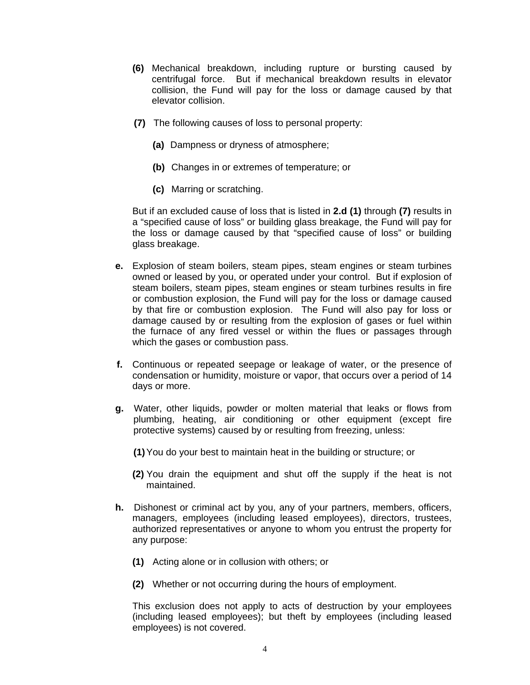- **(6)** Mechanical breakdown, including rupture or bursting caused by centrifugal force. But if mechanical breakdown results in elevator collision, the Fund will pay for the loss or damage caused by that elevator collision.
- **(7)** The following causes of loss to personal property:
	- **(a)** Dampness or dryness of atmosphere;
	- **(b)** Changes in or extremes of temperature; or
	- **(c)** Marring or scratching.

But if an excluded cause of loss that is listed in **2.d (1)** through **(7)** results in a "specified cause of loss" or building glass breakage, the Fund will pay for the loss or damage caused by that "specified cause of loss" or building glass breakage.

- **e.** Explosion of steam boilers, steam pipes, steam engines or steam turbines owned or leased by you, or operated under your control. But if explosion of steam boilers, steam pipes, steam engines or steam turbines results in fire or combustion explosion, the Fund will pay for the loss or damage caused by that fire or combustion explosion. The Fund will also pay for loss or damage caused by or resulting from the explosion of gases or fuel within the furnace of any fired vessel or within the flues or passages through which the gases or combustion pass.
- **f.** Continuous or repeated seepage or leakage of water, or the presence of condensation or humidity, moisture or vapor, that occurs over a period of 14 days or more.
- **g.** Water, other liquids, powder or molten material that leaks or flows from plumbing, heating, air conditioning or other equipment (except fire protective systems) caused by or resulting from freezing, unless:
	- **(1)** You do your best to maintain heat in the building or structure; or
	- **(2)** You drain the equipment and shut off the supply if the heat is not maintained.
- **h.** Dishonest or criminal act by you, any of your partners, members, officers, managers, employees (including leased employees), directors, trustees, authorized representatives or anyone to whom you entrust the property for any purpose:
	- **(1)** Acting alone or in collusion with others; or
	- **(2)** Whether or not occurring during the hours of employment.

This exclusion does not apply to acts of destruction by your employees (including leased employees); but theft by employees (including leased employees) is not covered.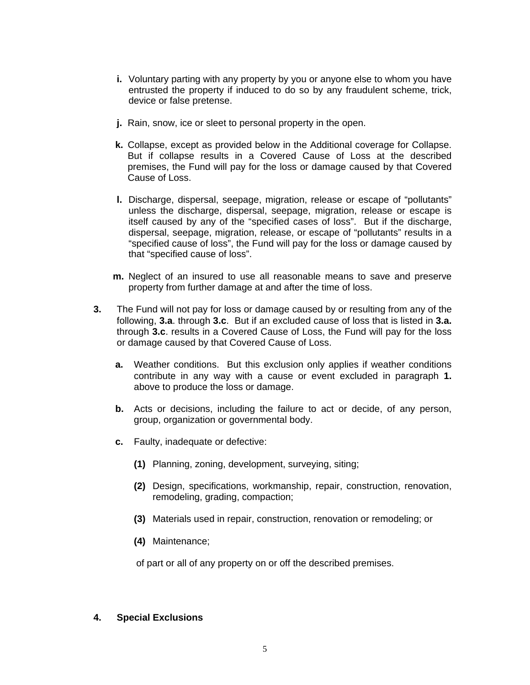- **i.** Voluntary parting with any property by you or anyone else to whom you have entrusted the property if induced to do so by any fraudulent scheme, trick, device or false pretense.
- **j.** Rain, snow, ice or sleet to personal property in the open.
- **k.** Collapse, except as provided below in the Additional coverage for Collapse. But if collapse results in a Covered Cause of Loss at the described premises, the Fund will pay for the loss or damage caused by that Covered Cause of Loss.
- **l.** Discharge, dispersal, seepage, migration, release or escape of "pollutants" unless the discharge, dispersal, seepage, migration, release or escape is itself caused by any of the "specified cases of loss". But if the discharge, dispersal, seepage, migration, release, or escape of "pollutants" results in a "specified cause of loss", the Fund will pay for the loss or damage caused by that "specified cause of loss".
- **m.** Neglect of an insured to use all reasonable means to save and preserve property from further damage at and after the time of loss.
- **3.** The Fund will not pay for loss or damage caused by or resulting from any of the following, **3.a**. through **3.c**. But if an excluded cause of loss that is listed in **3.a.** through **3.c**. results in a Covered Cause of Loss, the Fund will pay for the loss or damage caused by that Covered Cause of Loss.
	- **a.** Weather conditions. But this exclusion only applies if weather conditions contribute in any way with a cause or event excluded in paragraph **1.** above to produce the loss or damage.
	- **b.** Acts or decisions, including the failure to act or decide, of any person, group, organization or governmental body.
	- **c.** Faulty, inadequate or defective:
		- **(1)** Planning, zoning, development, surveying, siting;
		- **(2)** Design, specifications, workmanship, repair, construction, renovation, remodeling, grading, compaction;
		- **(3)** Materials used in repair, construction, renovation or remodeling; or
		- **(4)** Maintenance;

of part or all of any property on or off the described premises.

### **4. Special Exclusions**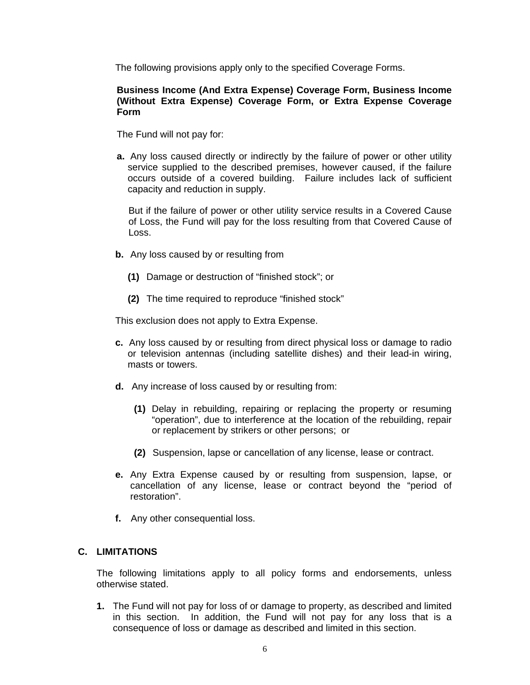The following provisions apply only to the specified Coverage Forms.

# **Business Income (And Extra Expense) Coverage Form, Business Income (Without Extra Expense) Coverage Form, or Extra Expense Coverage Form**

The Fund will not pay for:

**a.** Any loss caused directly or indirectly by the failure of power or other utility service supplied to the described premises, however caused, if the failure occurs outside of a covered building. Failure includes lack of sufficient capacity and reduction in supply.

 But if the failure of power or other utility service results in a Covered Cause of Loss, the Fund will pay for the loss resulting from that Covered Cause of Loss.

- **b.** Any loss caused by or resulting from
	- **(1)** Damage or destruction of "finished stock"; or
	- **(2)** The time required to reproduce "finished stock"

This exclusion does not apply to Extra Expense.

- **c.** Any loss caused by or resulting from direct physical loss or damage to radio or television antennas (including satellite dishes) and their lead-in wiring, masts or towers.
- **d.** Any increase of loss caused by or resulting from:
	- **(1)** Delay in rebuilding, repairing or replacing the property or resuming "operation", due to interference at the location of the rebuilding, repair or replacement by strikers or other persons; or
	- **(2)** Suspension, lapse or cancellation of any license, lease or contract.
- **e.** Any Extra Expense caused by or resulting from suspension, lapse, or cancellation of any license, lease or contract beyond the "period of restoration".
- **f.** Any other consequential loss.

# **C. LIMITATIONS**

 The following limitations apply to all policy forms and endorsements, unless otherwise stated.

**1.** The Fund will not pay for loss of or damage to property, as described and limited in this section. In addition, the Fund will not pay for any loss that is a consequence of loss or damage as described and limited in this section.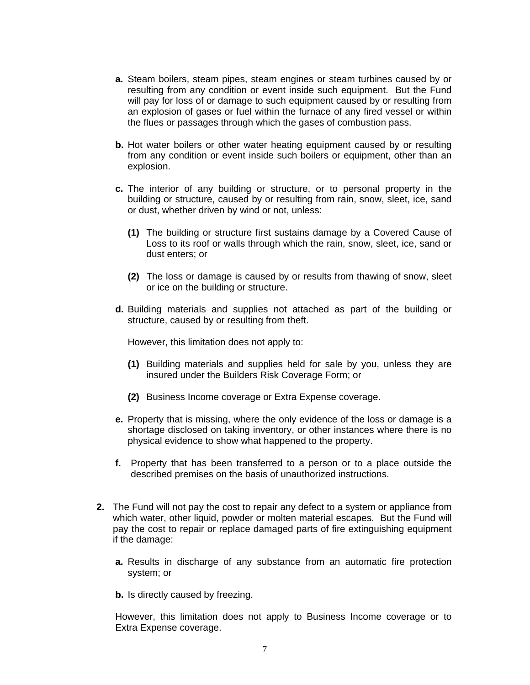- **a.** Steam boilers, steam pipes, steam engines or steam turbines caused by or resulting from any condition or event inside such equipment. But the Fund will pay for loss of or damage to such equipment caused by or resulting from an explosion of gases or fuel within the furnace of any fired vessel or within the flues or passages through which the gases of combustion pass.
- **b.** Hot water boilers or other water heating equipment caused by or resulting from any condition or event inside such boilers or equipment, other than an explosion.
- **c.** The interior of any building or structure, or to personal property in the building or structure, caused by or resulting from rain, snow, sleet, ice, sand or dust, whether driven by wind or not, unless:
	- **(1)** The building or structure first sustains damage by a Covered Cause of Loss to its roof or walls through which the rain, snow, sleet, ice, sand or dust enters; or
	- **(2)** The loss or damage is caused by or results from thawing of snow, sleet or ice on the building or structure.
- **d.** Building materials and supplies not attached as part of the building or structure, caused by or resulting from theft.

However, this limitation does not apply to:

- **(1)** Building materials and supplies held for sale by you, unless they are insured under the Builders Risk Coverage Form; or
- **(2)** Business Income coverage or Extra Expense coverage.
- **e.** Property that is missing, where the only evidence of the loss or damage is a shortage disclosed on taking inventory, or other instances where there is no physical evidence to show what happened to the property.
- **f.** Property that has been transferred to a person or to a place outside the described premises on the basis of unauthorized instructions.
- **2.** The Fund will not pay the cost to repair any defect to a system or appliance from which water, other liquid, powder or molten material escapes. But the Fund will pay the cost to repair or replace damaged parts of fire extinguishing equipment if the damage:
	- **a.** Results in discharge of any substance from an automatic fire protection system; or
	- **b.** Is directly caused by freezing.

However, this limitation does not apply to Business Income coverage or to Extra Expense coverage.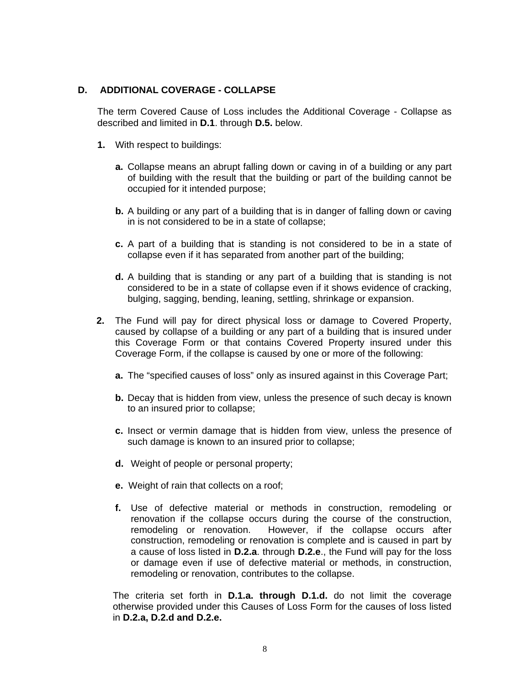# **D. ADDITIONAL COVERAGE - COLLAPSE**

The term Covered Cause of Loss includes the Additional Coverage - Collapse as described and limited in **D.1**. through **D.5.** below.

- **1.** With respect to buildings:
	- **a.** Collapse means an abrupt falling down or caving in of a building or any part of building with the result that the building or part of the building cannot be occupied for it intended purpose;
	- **b.** A building or any part of a building that is in danger of falling down or caving in is not considered to be in a state of collapse;
	- **c.** A part of a building that is standing is not considered to be in a state of collapse even if it has separated from another part of the building;
	- **d.** A building that is standing or any part of a building that is standing is not considered to be in a state of collapse even if it shows evidence of cracking, bulging, sagging, bending, leaning, settling, shrinkage or expansion.
- **2.** The Fund will pay for direct physical loss or damage to Covered Property, caused by collapse of a building or any part of a building that is insured under this Coverage Form or that contains Covered Property insured under this Coverage Form, if the collapse is caused by one or more of the following:
	- **a.** The "specified causes of loss" only as insured against in this Coverage Part;
	- **b.** Decay that is hidden from view, unless the presence of such decay is known to an insured prior to collapse;
	- **c.** Insect or vermin damage that is hidden from view, unless the presence of such damage is known to an insured prior to collapse;
	- **d.** Weight of people or personal property;
	- **e.** Weight of rain that collects on a roof;
	- **f.** Use of defective material or methods in construction, remodeling or renovation if the collapse occurs during the course of the construction, remodeling or renovation. However, if the collapse occurs after construction, remodeling or renovation is complete and is caused in part by a cause of loss listed in **D.2.a**. through **D.2.e**., the Fund will pay for the loss or damage even if use of defective material or methods, in construction, remodeling or renovation, contributes to the collapse.

The criteria set forth in **D.1.a. through D.1.d.** do not limit the coverage otherwise provided under this Causes of Loss Form for the causes of loss listed in **D.2.a, D.2.d and D.2.e.**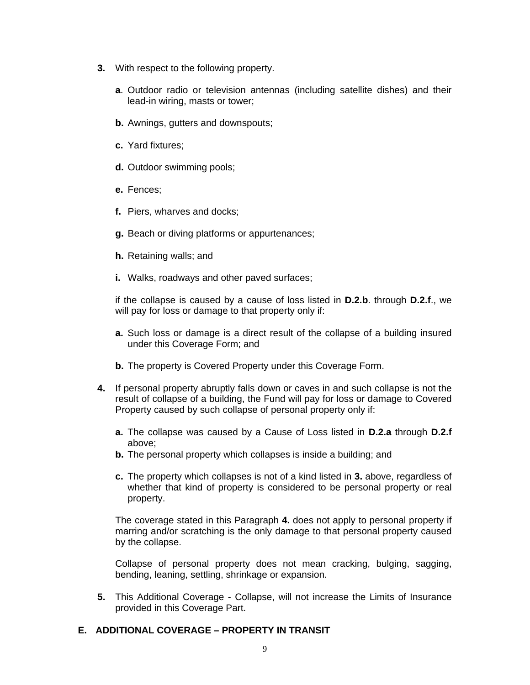- **3.** With respect to the following property.
	- **a**. Outdoor radio or television antennas (including satellite dishes) and their lead-in wiring, masts or tower;
	- **b.** Awnings, gutters and downspouts;
	- **c.** Yard fixtures;
	- **d.** Outdoor swimming pools;
	- **e.** Fences;
	- **f.** Piers, wharves and docks;
	- **g.** Beach or diving platforms or appurtenances;
	- **h.** Retaining walls; and
	- **i.** Walks, roadways and other paved surfaces;

if the collapse is caused by a cause of loss listed in **D.2.b**. through **D.2.f**., we will pay for loss or damage to that property only if:

- **a.** Such loss or damage is a direct result of the collapse of a building insured under this Coverage Form; and
- **b.** The property is Covered Property under this Coverage Form.
- **4.** If personal property abruptly falls down or caves in and such collapse is not the result of collapse of a building, the Fund will pay for loss or damage to Covered Property caused by such collapse of personal property only if:
	- **a.** The collapse was caused by a Cause of Loss listed in **D.2.a** through **D.2.f** above;
	- **b.** The personal property which collapses is inside a building; and
	- **c.** The property which collapses is not of a kind listed in **3.** above, regardless of whether that kind of property is considered to be personal property or real property.

The coverage stated in this Paragraph **4.** does not apply to personal property if marring and/or scratching is the only damage to that personal property caused by the collapse.

Collapse of personal property does not mean cracking, bulging, sagging, bending, leaning, settling, shrinkage or expansion.

**5.** This Additional Coverage - Collapse, will not increase the Limits of Insurance provided in this Coverage Part.

# **E. ADDITIONAL COVERAGE – PROPERTY IN TRANSIT**